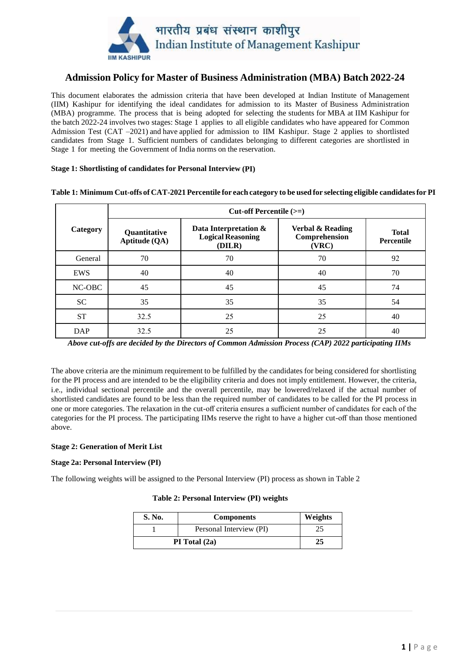

## **Admission Policy for Master of Business Administration (MBA) Batch 2022-24**

This document elaborates the admission criteria that have been developed at Indian Institute of Management (IIM) Kashipur for identifying the ideal candidates for admission to its Master of Business Administration (MBA) programme. The process that is being adopted for selecting the students for MBA at IIM Kashipur for the batch 2022-24 involves two stages: Stage 1 applies to all eligible candidates who have appeared for Common Admission Test (CAT –2021) and have applied for admission to IIM Kashipur. Stage 2 applies to shortlisted candidates from Stage 1. Sufficient numbers of candidates belonging to different categories are shortlisted in Stage 1 for meeting the Government of India norms on the reservation.

### **Stage 1: Shortlisting of candidates for Personal Interview (PI)**

|            | Cut-off Percentile (>=)       |                                                             |                                            |                            |  |
|------------|-------------------------------|-------------------------------------------------------------|--------------------------------------------|----------------------------|--|
| Category   | Quantitative<br>Aptitude (QA) | Data Interpretation &<br><b>Logical Reasoning</b><br>(DILR) | Verbal & Reading<br>Comprehension<br>(VRC) | <b>Total</b><br>Percentile |  |
| General    | 70                            | 70                                                          | 70                                         | 92                         |  |
| EWS        | 40                            | 40                                                          | 40                                         | 70                         |  |
| NC-OBC     | 45                            | 45                                                          | 45                                         | 74                         |  |
| <b>SC</b>  | 35                            | 35                                                          | 35                                         | 54                         |  |
| <b>ST</b>  | 32.5                          | 25                                                          | 25                                         | 40                         |  |
| <b>DAP</b> | 32.5                          | 25                                                          | 25                                         | 40                         |  |

**Table 1: Minimum Cut-offs of CAT-2021 Percentile for each category to be used for selecting eligible candidates for PI**

The above criteria are the minimum requirement to be fulfilled by the candidates for being considered for shortlisting for the PI process and are intended to be the eligibility criteria and does not imply entitlement. However, the criteria, i.e., individual sectional percentile and the overall percentile, may be lowered/relaxed if the actual number of shortlisted candidates are found to be less than the required number of candidates to be called for the PI process in one or more categories. The relaxation in the cut-off criteria ensures a sufficient number of candidates for each of the categories for the PI process. The participating IIMs reserve the right to have a higher cut-off than those mentioned above.

### **Stage 2: Generation of Merit List**

### **Stage 2a: Personal Interview (PI)**

The following weights will be assigned to the Personal Interview (PI) process as shown in Table 2

### **Table 2: Personal Interview (PI) weights**

| <b>S. No.</b> | <b>Components</b>       | Weights |
|---------------|-------------------------|---------|
|               | Personal Interview (PI) |         |
| PI Total (2a) |                         |         |

*Above cut-offs are decided by the Directors of Common Admission Process (CAP) 2022 participating IIMs*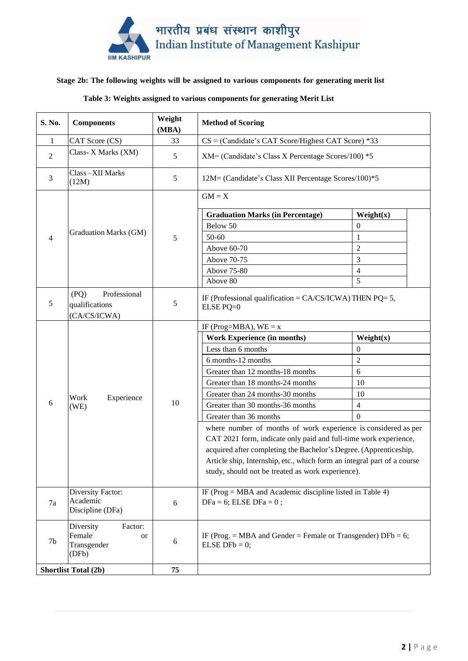

### **Stage 2b: The following weights will be assigned to various components for generating merit list**

### **Table 3: Weights assigned to various components for generating Merit List**

| S. No.                      | <b>Components</b>                                            | Weight<br>(MBA) | <b>Method of Scoring</b>                                                                                                                                                                                                                                                                                                                |                |
|-----------------------------|--------------------------------------------------------------|-----------------|-----------------------------------------------------------------------------------------------------------------------------------------------------------------------------------------------------------------------------------------------------------------------------------------------------------------------------------------|----------------|
| $\mathbf{1}$                | CAT Score (CS)                                               | 33              | $CS = ($ Candidate's CAT Score/Highest CAT Score) *33                                                                                                                                                                                                                                                                                   |                |
| $\overline{2}$              | Class- X Marks (XM)                                          | 5               | XM= (Candidate's Class X Percentage Scores/100) *5                                                                                                                                                                                                                                                                                      |                |
| 3                           | Class-XII Marks<br>(12M)                                     | 5               | 12M= (Candidate's Class XII Percentage Scores/100)*5                                                                                                                                                                                                                                                                                    |                |
|                             |                                                              | 5               | $GM = X$                                                                                                                                                                                                                                                                                                                                |                |
|                             |                                                              |                 | <b>Graduation Marks (in Percentage)</b>                                                                                                                                                                                                                                                                                                 | Weight(x)      |
|                             |                                                              |                 | Below 50                                                                                                                                                                                                                                                                                                                                | 0              |
| 4                           | Graduation Marks (GM)                                        |                 | $50 - 60$                                                                                                                                                                                                                                                                                                                               | 1              |
|                             |                                                              |                 | Above 60-70                                                                                                                                                                                                                                                                                                                             | $\overline{2}$ |
|                             |                                                              |                 | Above 70-75                                                                                                                                                                                                                                                                                                                             | 3              |
|                             |                                                              |                 | Above 75-80                                                                                                                                                                                                                                                                                                                             | $\overline{4}$ |
|                             |                                                              |                 | Above 80                                                                                                                                                                                                                                                                                                                                | 5              |
| 5                           | Professional<br>(PQ)<br>qualifications<br>(CA/CS/ICWA)       | 5               | IF (Professional qualification = $CA/CS/ICWA$ ) THEN PQ= 5,<br>ELSE PQ=0                                                                                                                                                                                                                                                                |                |
|                             |                                                              | 10              | IF (Prog=MBA), $WE = x$                                                                                                                                                                                                                                                                                                                 |                |
|                             |                                                              |                 | <b>Work Experience (in months)</b>                                                                                                                                                                                                                                                                                                      | Weight(x)      |
|                             |                                                              |                 | Less than 6 months                                                                                                                                                                                                                                                                                                                      | $\mathbf{0}$   |
|                             |                                                              |                 | 6 months-12 months                                                                                                                                                                                                                                                                                                                      | $\overline{c}$ |
|                             |                                                              |                 | Greater than 12 months-18 months                                                                                                                                                                                                                                                                                                        | 6              |
|                             |                                                              |                 | Greater than 18 months-24 months                                                                                                                                                                                                                                                                                                        | 10             |
|                             | Experience<br>Work                                           |                 | Greater than 24 months-30 months                                                                                                                                                                                                                                                                                                        | 10             |
| 6                           | (WE)                                                         |                 | Greater than 30 months-36 months                                                                                                                                                                                                                                                                                                        | $\overline{4}$ |
|                             |                                                              |                 | Greater than 36 months                                                                                                                                                                                                                                                                                                                  | 0              |
|                             |                                                              |                 | where number of months of work experience is considered as per<br>CAT 2021 form, indicate only paid and full-time work experience,<br>acquired after completing the Bachelor's Degree. (Apprenticeship,<br>Article ship, Internship, etc., which form an integral part of a course<br>study, should not be treated as work experience). |                |
| Diversity Factor:           |                                                              |                 | IF (Prog = MBA and Academic discipline listed in Table 4)                                                                                                                                                                                                                                                                               |                |
| 7a                          | Academic<br>Discipline (DFa)                                 | 6               | $DFa = 6$ ; ELSE $DFa = 0$ ;                                                                                                                                                                                                                                                                                                            |                |
| 7b                          | Diversity<br>Factor:<br>Female<br>or<br>Transgender<br>(DFb) | $6\,$           | IF (Prog. = MBA and Gender = Female or Transgender) $DFb = 6$ ;<br>ELSE DFb = $0$ ;                                                                                                                                                                                                                                                     |                |
| <b>Shortlist Total (2b)</b> |                                                              | 75              |                                                                                                                                                                                                                                                                                                                                         |                |